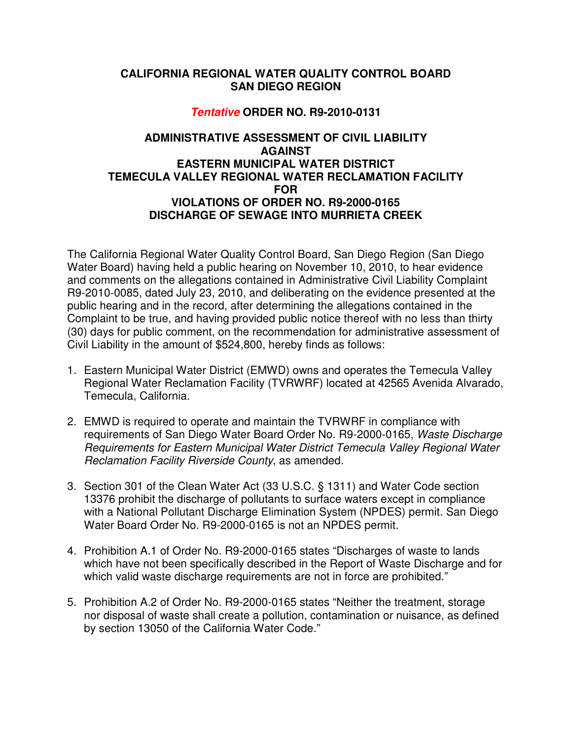## **CALIFORNIA REGIONAL WATER QUALITY CONTROL BOARD SAN DIEGO REGION**

## **Tentative ORDER NO. R9-2010-0131**

## **ADMINISTRATIVE ASSESSMENT OF CIVIL LIABILITY AGAINST EASTERN MUNICIPAL WATER DISTRICT TEMECULA VALLEY REGIONAL WATER RECLAMATION FACILITY FOR VIOLATIONS OF ORDER NO. R9-2000-0165 DISCHARGE OF SEWAGE INTO MURRIETA CREEK**

The California Regional Water Quality Control Board, San Diego Region (San Diego Water Board) having held a public hearing on November 10, 2010, to hear evidence and comments on the allegations contained in Administrative Civil Liability Complaint R9-2010-0085, dated July 23, 2010, and deliberating on the evidence presented at the public hearing and in the record, after determining the allegations contained in the Complaint to be true, and having provided public notice thereof with no less than thirty (30) days for public comment, on the recommendation for administrative assessment of Civil Liability in the amount of \$524,800, hereby finds as follows:

- 1. Eastern Municipal Water District (EMWD) owns and operates the Temecula Valley Regional Water Reclamation Facility (TVRWRF) located at 42565 Avenida Alvarado, Temecula, California.
- 2. EMWD is required to operate and maintain the TVRWRF in compliance with requirements of San Diego Water Board Order No. R9-2000-0165, Waste Discharge Requirements for Eastern Municipal Water District Temecula Valley Regional Water Reclamation Facility Riverside County, as amended.
- 3. Section 301 of the Clean Water Act (33 U.S.C. § 1311) and Water Code section 13376 prohibit the discharge of pollutants to surface waters except in compliance with a National Pollutant Discharge Elimination System (NPDES) permit. San Diego Water Board Order No. R9-2000-0165 is not an NPDES permit.
- 4. Prohibition A.1 of Order No. R9-2000-0165 states "Discharges of waste to lands which have not been specifically described in the Report of Waste Discharge and for which valid waste discharge requirements are not in force are prohibited."
- 5. Prohibition A.2 of Order No. R9-2000-0165 states "Neither the treatment, storage nor disposal of waste shall create a pollution, contamination or nuisance, as defined by section 13050 of the California Water Code."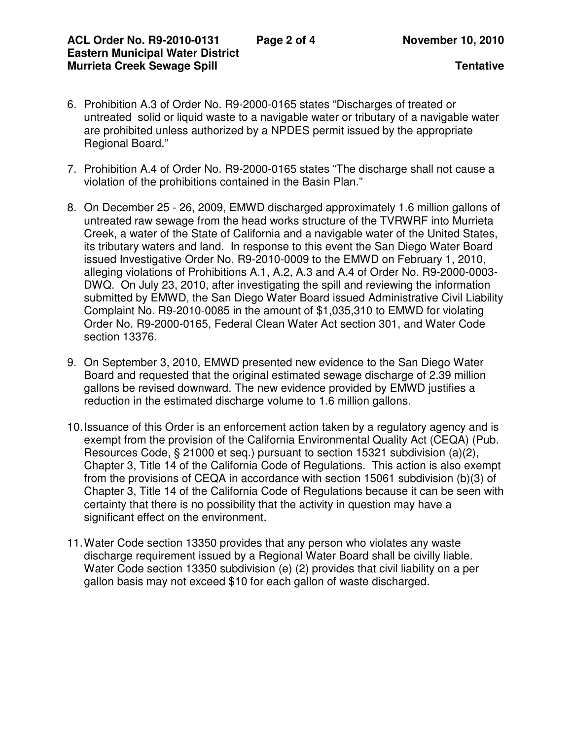- 6. Prohibition A.3 of Order No. R9-2000-0165 states "Discharges of treated or untreated solid or liquid waste to a navigable water or tributary of a navigable water are prohibited unless authorized by a NPDES permit issued by the appropriate Regional Board."
- 7. Prohibition A.4 of Order No. R9-2000-0165 states "The discharge shall not cause a violation of the prohibitions contained in the Basin Plan."
- 8. On December 25 26, 2009, EMWD discharged approximately 1.6 million gallons of untreated raw sewage from the head works structure of the TVRWRF into Murrieta Creek, a water of the State of California and a navigable water of the United States, its tributary waters and land. In response to this event the San Diego Water Board issued Investigative Order No. R9-2010-0009 to the EMWD on February 1, 2010, alleging violations of Prohibitions A.1, A.2, A.3 and A.4 of Order No. R9-2000-0003- DWQ. On July 23, 2010, after investigating the spill and reviewing the information submitted by EMWD, the San Diego Water Board issued Administrative Civil Liability Complaint No. R9-2010-0085 in the amount of \$1,035,310 to EMWD for violating Order No. R9-2000-0165, Federal Clean Water Act section 301, and Water Code section 13376.
- 9. On September 3, 2010, EMWD presented new evidence to the San Diego Water Board and requested that the original estimated sewage discharge of 2.39 million gallons be revised downward. The new evidence provided by EMWD justifies a reduction in the estimated discharge volume to 1.6 million gallons.
- 10. Issuance of this Order is an enforcement action taken by a regulatory agency and is exempt from the provision of the California Environmental Quality Act (CEQA) (Pub. Resources Code, § 21000 et seq.) pursuant to section 15321 subdivision (a)(2), Chapter 3, Title 14 of the California Code of Regulations. This action is also exempt from the provisions of CEQA in accordance with section 15061 subdivision (b)(3) of Chapter 3, Title 14 of the California Code of Regulations because it can be seen with certainty that there is no possibility that the activity in question may have a significant effect on the environment.
- 11. Water Code section 13350 provides that any person who violates any waste discharge requirement issued by a Regional Water Board shall be civilly liable. Water Code section 13350 subdivision (e) (2) provides that civil liability on a per gallon basis may not exceed \$10 for each gallon of waste discharged.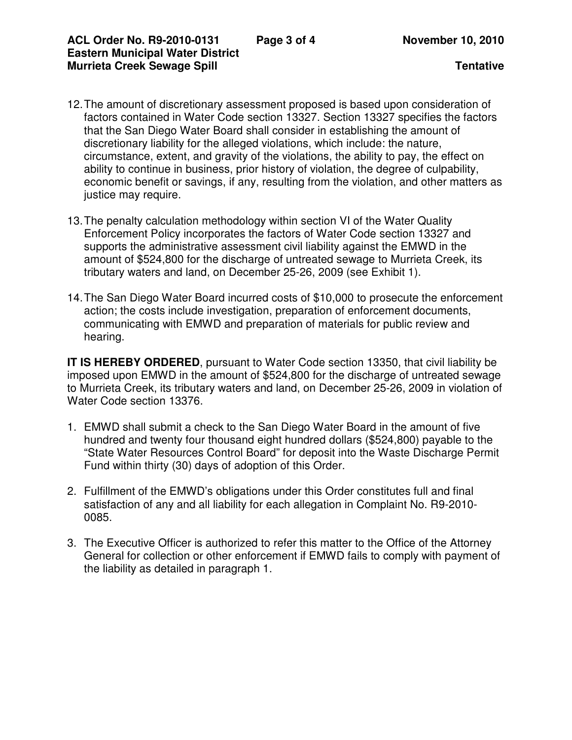- 12. The amount of discretionary assessment proposed is based upon consideration of factors contained in Water Code section 13327. Section 13327 specifies the factors that the San Diego Water Board shall consider in establishing the amount of discretionary liability for the alleged violations, which include: the nature, circumstance, extent, and gravity of the violations, the ability to pay, the effect on ability to continue in business, prior history of violation, the degree of culpability, economic benefit or savings, if any, resulting from the violation, and other matters as justice may require.
- 13. The penalty calculation methodology within section VI of the Water Quality Enforcement Policy incorporates the factors of Water Code section 13327 and supports the administrative assessment civil liability against the EMWD in the amount of \$524,800 for the discharge of untreated sewage to Murrieta Creek, its tributary waters and land, on December 25-26, 2009 (see Exhibit 1).
- 14. The San Diego Water Board incurred costs of \$10,000 to prosecute the enforcement action; the costs include investigation, preparation of enforcement documents, communicating with EMWD and preparation of materials for public review and hearing.

**IT IS HEREBY ORDERED**, pursuant to Water Code section 13350, that civil liability be imposed upon EMWD in the amount of \$524,800 for the discharge of untreated sewage to Murrieta Creek, its tributary waters and land, on December 25-26, 2009 in violation of Water Code section 13376.

- 1. EMWD shall submit a check to the San Diego Water Board in the amount of five hundred and twenty four thousand eight hundred dollars (\$524,800) payable to the "State Water Resources Control Board" for deposit into the Waste Discharge Permit Fund within thirty (30) days of adoption of this Order.
- 2. Fulfillment of the EMWD's obligations under this Order constitutes full and final satisfaction of any and all liability for each allegation in Complaint No. R9-2010- 0085.
- 3. The Executive Officer is authorized to refer this matter to the Office of the Attorney General for collection or other enforcement if EMWD fails to comply with payment of the liability as detailed in paragraph 1.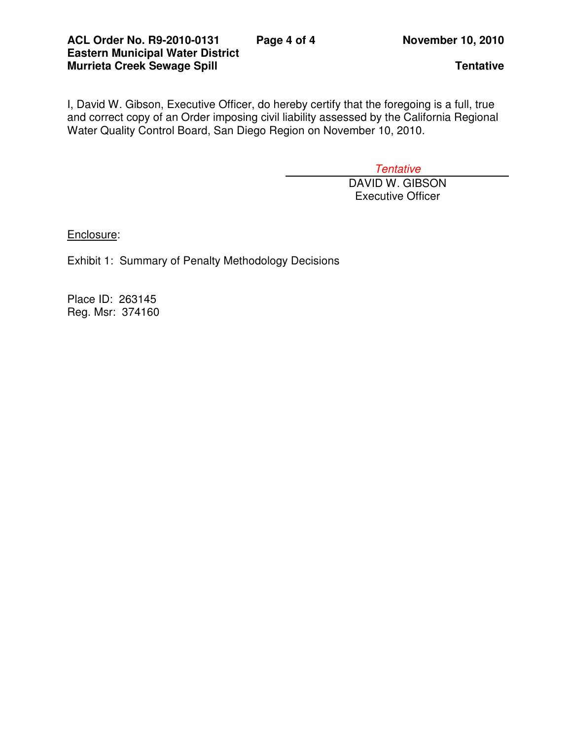I, David W. Gibson, Executive Officer, do hereby certify that the foregoing is a full, true and correct copy of an Order imposing civil liability assessed by the California Regional Water Quality Control Board, San Diego Region on November 10, 2010.

**Tentative** 

 DAVID W. GIBSON Executive Officer

Enclosure:

Exhibit 1: Summary of Penalty Methodology Decisions

Place ID: 263145 Reg. Msr: 374160